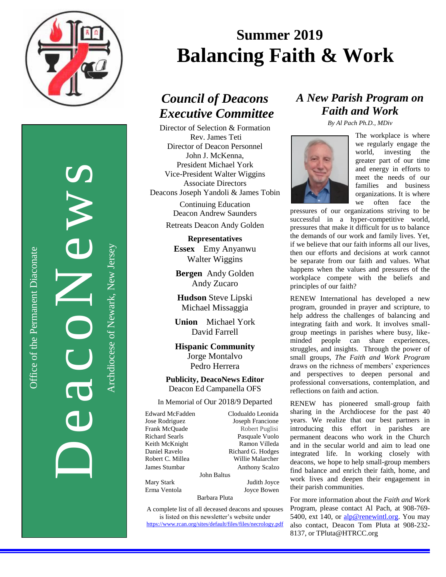

DeacoNews News

Office of the Permanent Diaconate

Office of the Permanent Diaconate

Archdiocese of Newark, New JerseyArchdiocese of Newark, New Jersey

# **Summer 2019 Balancing Faith & Work**

### *Council of Deacons Executive Committee*

Director of Selection & Formation Rev. James Teti Director of Deacon Personnel John J. McKenna, President Michael York Vice-President Walter Wiggins Associate Directors Deacons Joseph Yandoli & James Tobin

> Continuing Education Deacon Andrew Saunders

Retreats Deacon Andy Golden

**Representatives Essex** Emy Anyanwu Walter Wiggins

**Bergen** Andy Golden Andy Zucaro

**Hudson** Steve Lipski Michael Missaggia

**Union** Michael York David Farrell

**Hispanic Community** Jorge Montalvo Pedro Herrera

**Publicity, DeacoNews Editor** Deacon Ed Campanella OFS

### In Memorial of Our 2018/9 Departed

Edward McFadden Clodualdo Leonida Jose Rodriguez Joseph Francione Frank McQuade Robert Puglisi Richard Searls Pasquale Vuolo Keith McKnight Ramon Villeda Daniel Ravelo Richard G. Hodges Robert C. Millea Willie Malarcher **James Stumbar Anthony Scalzo** Mary Stark Judith Joyce

John Baltus

Erma Ventola Joyce Bowen

Barbara Pluta

A complete list of all deceased deacons and spouses is listed on this newsletter's website under <https://www.rcan.org/sites/default/files/files/necrology.pdf>

### *A New Parish Program on Faith and Work*

*By Al Pach Ph.D., MDiv*



The workplace is where we regularly engage the world, investing the greater part of our time and energy in efforts to meet the needs of our families and business organizations. It is where we often face the

pressures of our organizations striving to be successful in a hyper-competitive world, pressures that make it difficult for us to balance the demands of our work and family lives. Yet, if we believe that our faith informs all our lives, then our efforts and decisions at work cannot be separate from our faith and values. What happens when the values and pressures of the workplace compete with the beliefs and principles of our faith?

RENEW International has developed a new program, grounded in prayer and scripture, to help address the challenges of balancing and integrating faith and work. It involves smallgroup meetings in parishes where busy, likeminded people can share experiences, struggles, and insights. Through the power of small groups, *The Faith and Work Program*  draws on the richness of members' experiences and perspectives to deepen personal and professional conversations, contemplation, and reflections on faith and action.

RENEW has pioneered small-group faith sharing in the Archdiocese for the past 40 years. We realize that our best partners in introducing this effort in parishes are permanent deacons who work in the Church and in the secular world and aim to lead one integrated life. In working closely with deacons, we hope to help small-group members find balance and enrich their faith, home, and work lives and deepen their engagement in their parish communities.

For more information about the *Faith and Work* Program*,* please contact Al Pach, at 908-769 5400, ext 140, or [alp@renewintl.org.](mailto:alp@renewintl.org) You may also contact, Deacon Tom Pluta at 908-232- 8137, or TPluta@HTRCC.org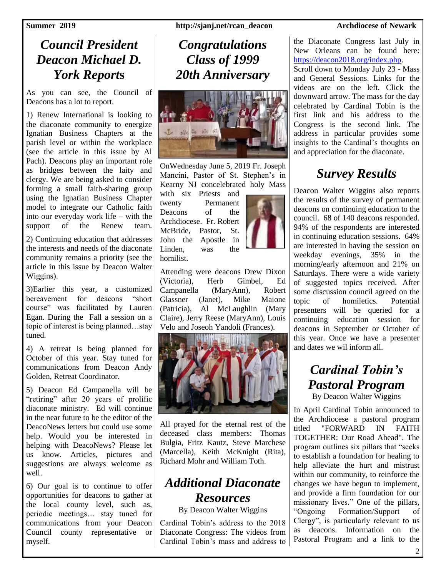### *Council President Deacon Michael D. York Report***s**

As you can see, the Council of Deacons has a lot to report.

1) Renew International is looking to the diaconate community to energize Ignatian Business Chapters at the parish level or within the workplace (see the article in this issue by Al Pach). Deacons play an important role as bridges between the laity and clergy. We are being asked to consider forming a small faith-sharing group using the Ignatian Business Chapter model to integrate our Catholic faith into our everyday work life – with the support of the Renew team.

2) Continuing education that addresses the interests and needs of the diaconate community remains a priority (see the article in this issue by Deacon Walter Wiggins).

3)Earlier this year, a customized bereavement for deacons "short course" was facilitated by Lauren Egan. During the Fall a session on a topic of interest is being planned…stay tuned.

4) A retreat is being planned for October of this year. Stay tuned for communications from Deacon Andy Golden, Retreat Coordinator.

5) Deacon Ed Campanella will be "retiring" after 20 years of prolific diaconate ministry. Ed will continue in the near future to be the editor of the DeacoNews letters but could use some help. Would you be interested in helping with DeacoNews? Please let us know. Articles, pictures and suggestions are always welcome as well.

6) Our goal is to continue to offer opportunities for deacons to gather at the local county level, such as, periodic meetings… stay tuned for communications from your Deacon Council county representative or myself.

**Summer 2019 http://sjanj.net/rcan\_deacon Archdiocese of Newark** 

### *Congratulations Class of 1999 20th Anniversary*



OnWednesday June 5, 2019 Fr. Joseph Mancini, Pastor of St. Stephen's in Kearny NJ concelebrated holy Mass

with six Priests and twenty Permanent Deacons of the Archdiocese. Fr. Robert McBride, Pastor, St. John the Apostle in Linden, was the homilist.



Attending were deacons Drew Dixon (Victoria), Herb Gimbel, Ed Campanella (MaryAnn), Robert Glassner (Janet), Mike Maione (Patricia), Al McLaughlin (Mary Claire), Jerry Reese (MaryAnn), Louis Velo and Joseoh Yandoli (Frances).



All prayed for the eternal rest of the deceased class members: Thomas Bulgia, Fritz Kautz, Steve Marchese (Marcella), Keith McKnight (Rita), Richard Mohr and William Toth.

### *Additional Diaconate Resources*

By Deacon Walter Wiggins

Cardinal Tobin's address to the 2018 Diaconate Congress: The videos from Cardinal Tobin's mass and address to

the Diaconate Congress last July in New Orleans can be found here: [https://deacon2018.org/index.php.](https://deacon2018.org/index.php) Scroll down to Monday July 23 - Mass and General Sessions. Links for the videos are on the left. Click the downward arrow. The mass for the day celebrated by Cardinal Tobin is the first link and his address to the Congress is the second link. The address in particular provides some insights to the Cardinal's thoughts on and appreciation for the diaconate.

### *Survey Results*

Deacon Walter Wiggins also reports the results of the survey of permanent deacons on continuing education to the council. 68 of 140 deacons responded. 94% of the respondents are interested in continuing education sessions. 64% are interested in having the session on weekday evenings, 35% in the morning/early afternoon and 21% on Saturdays. There were a wide variety of suggested topics received. After some discussion council agreed on the topic of homiletics. Potential presenters will be queried for a continuing education session for deacons in September or October of this year. Once we have a presenter and dates we wil inform all.

## *Cardinal Tobin's Pastoral Program*

By Deacon Walter Wiggins

In April Cardinal Tobin announced to the Archdiocese a pastoral program titled "FORWARD IN FAITH TOGETHER: Our Road Ahead". The program outlines six pillars that "seeks to establish a foundation for healing to help alleviate the hurt and mistrust within our community, to reinforce the changes we have begun to implement, and provide a firm foundation for our missionary lives." One of the pillars, "Ongoing Formation/Support of Clergy", is particularly relevant to us as deacons. Information on the Pastoral Program and a link to the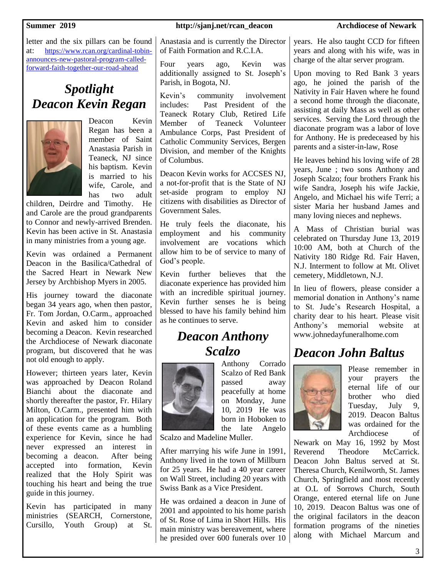letter and the six pillars can be found at: [https://www.rcan.org/cardinal-tobin](https://www.rcan.org/cardinal-tobin-announces-new-pastoral-program-called-forward-faith-together-our-road-ahead)[announces-new-pastoral-program-called](https://www.rcan.org/cardinal-tobin-announces-new-pastoral-program-called-forward-faith-together-our-road-ahead)[forward-faith-together-our-road-ahead](https://www.rcan.org/cardinal-tobin-announces-new-pastoral-program-called-forward-faith-together-our-road-ahead)

## *Spotlight Deacon Kevin Regan*



Deacon Kevin Regan has been a member of Saint Anastasia Parish in Teaneck, NJ since his baptism. Kevin is married to his wife, Carole, and has two adult

children, Deirdre and Timothy. He and Carole are the proud grandparents to Connor and newly-arrived Brenden. Kevin has been active in St. Anastasia in many ministries from a young age.

Kevin was ordained a Permanent Deacon in the Basilica/Cathedral of the Sacred Heart in Newark New Jersey by Archbishop Myers in 2005.

His journey toward the diaconate began 34 years ago, when then pastor, Fr. Tom Jordan, O.Carm., approached Kevin and asked him to consider becoming a Deacon. Kevin researched the Archdiocese of Newark diaconate program, but discovered that he was not old enough to apply.

However; thirteen years later, Kevin was approached by Deacon Roland Bianchi about the diaconate and shortly thereafter the pastor, Fr. Hilary Milton, O.Carm., presented him with an application for the program. Both of these events came as a humbling experience for Kevin, since he had never expressed an interest in becoming a deacon. After being accepted into formation, Kevin realized that the Holy Spirit was touching his heart and being the true guide in this journey.

Kevin has participated in many ministries (SEARCH, Cornerstone, Cursillo, Youth Group) at St.

### **Summer 2019 http://sjanj.net/rcan\_deacon Archdiocese of Newark**

Anastasia and is currently the Director of Faith Formation and R.C.I.A.

Four years ago, Kevin was additionally assigned to St. Joseph's Parish, in Bogota, NJ.

Kevin's community involvement includes: Past President of the Teaneck Rotary Club, Retired Life Member of Teaneck Volunteer Ambulance Corps, Past President of Catholic Community Services, Bergen Division, and member of the Knights of Columbus.

Deacon Kevin works for ACCSES NJ, a not-for-profit that is the State of NJ set-aside program to employ NJ citizens with disabilities as Director of Government Sales.

He truly feels the diaconate, his employment and his community involvement are vocations which allow him to be of service to many of God's people.

Kevin further believes that the diaconate experience has provided him with an incredible spiritual journey. Kevin further senses he is being blessed to have his family behind him as he continues to serve.

### *Deacon Anthony Scalzo*



Anthony Corrado Scalzo of Red Bank passed away peacefully at home on Monday, June 10, 2019 He was born in Hoboken to the late Angelo

Scalzo and Madeline Muller.

After marrying his wife June in 1991, Anthony lived in the town of Millburn for 25 years. He had a 40 year career on Wall Street, including 20 years with Swiss Bank as a Vice President.

He was ordained a deacon in June of 2001 and appointed to his home parish of St. Rose of Lima in Short Hills. His main ministry was bereavement, where he presided over 600 funerals over 10 years. He also taught CCD for fifteen years and along with his wife, was in charge of the altar server program.

Upon moving to Red Bank 3 years ago, he joined the parish of the Nativity in Fair Haven where he found a second home through the diaconate, assisting at daily Mass as well as other services. Serving the Lord through the diaconate program was a labor of love for Anthony. He is predeceased by his parents and a sister-in-law, Rose

He leaves behind his loving wife of 28 years, June ; two sons Anthony and Joseph Scalzo; four brothers Frank his wife Sandra, Joseph his wife Jackie, Angelo, and Michael his wife Terri; a sister Maria her husband James and many loving nieces and nephews.

A Mass of Christian burial was celebrated on Thursday June 13, 2019 10:00 AM, both at Church of the Nativity 180 Ridge Rd. Fair Haven, N.J. Interment to follow at Mt. Olivet cemetery, Middletown, N.J.

In lieu of flowers, please consider a memorial donation in Anthony's name to St. Jude's Research Hospital, a charity dear to his heart. Please visit Anthony's memorial website at www.johnedayfuneralhome.com

### *Deacon John Baltus*



Please remember in your prayers the eternal life of our brother who died Tuesday, July 9, 2019. Deacon Baltus was ordained for the Archdiocese of

Newark on May 16, 1992 by Most Reverend Theodore McCarrick. Deacon John Baltus served at St. Theresa Church, Kenilworth, St. James Church, Springfield and most recently at O.L of Sorrows Church, South Orange, entered eternal life on June 10, 2019. Deacon Baltus was one of the original facilators in the deacon formation programs of the nineties along with Michael Marcum and

3